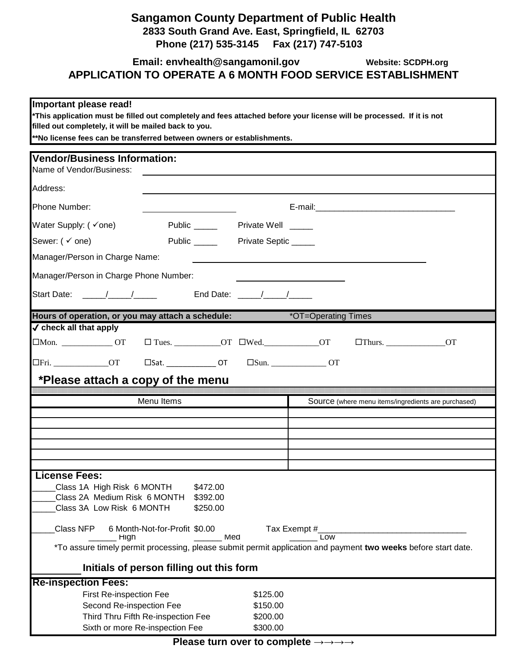## **Sangamon County Department of Public Health 2833 South Grand Ave. East, Springfield, IL 62703 Phone (217) 535-3145 Fax (217) 747-5103**

## **Email: envhealth@sangamonil.gov Website: SCDPH.org APPLICATION TO OPERATE A 6 MONTH FOOD SERVICE ESTABLISHMENT**

| Important please read!<br>*This application must be filled out completely and fees attached before your license will be processed. If it is not<br>filled out completely, it will be mailed back to you.<br>**No license fees can be transferred between owners or establishments. |                                          |                                         |                     |                                                     |           |
|------------------------------------------------------------------------------------------------------------------------------------------------------------------------------------------------------------------------------------------------------------------------------------|------------------------------------------|-----------------------------------------|---------------------|-----------------------------------------------------|-----------|
| <b>Vendor/Business Information:</b><br>Name of Vendor/Business:                                                                                                                                                                                                                    |                                          |                                         |                     |                                                     |           |
| Address:                                                                                                                                                                                                                                                                           |                                          |                                         |                     |                                                     |           |
| <b>Phone Number:</b>                                                                                                                                                                                                                                                               |                                          |                                         |                     |                                                     |           |
| Water Supply: ( √one)                                                                                                                                                                                                                                                              |                                          |                                         |                     |                                                     |           |
| Sewer: $($ $\checkmark$ one)                                                                                                                                                                                                                                                       | Public _____                             | Private Septic                          |                     |                                                     |           |
| Manager/Person in Charge Name:                                                                                                                                                                                                                                                     |                                          |                                         |                     |                                                     |           |
| Manager/Person in Charge Phone Number:                                                                                                                                                                                                                                             |                                          |                                         |                     |                                                     |           |
| Start Date: $\frac{1}{2}$ / $\frac{1}{2}$                                                                                                                                                                                                                                          |                                          | End Date: $\frac{1}{2}$ / $\frac{1}{2}$ |                     |                                                     |           |
| Hours of operation, or you may attach a schedule:                                                                                                                                                                                                                                  |                                          |                                         | *OT=Operating Times |                                                     |           |
| √ check all that apply                                                                                                                                                                                                                                                             |                                          |                                         |                     |                                                     |           |
| $\Box$ Mon. $\Box$ OT $\Box$ Tues. $\Box$ OT $\Box$ Wed. $\Box$ OT                                                                                                                                                                                                                 |                                          |                                         |                     | $\Box$ Thurs.                                       | <b>OT</b> |
| □Fri. ______________OT                                                                                                                                                                                                                                                             | $\square$ Sat. ___________________OT     |                                         |                     |                                                     |           |
| *Please attach a copy of the menu                                                                                                                                                                                                                                                  |                                          |                                         |                     |                                                     |           |
|                                                                                                                                                                                                                                                                                    | Menu Items                               |                                         |                     | Source (where menu items/ingredients are purchased) |           |
|                                                                                                                                                                                                                                                                                    |                                          |                                         |                     |                                                     |           |
|                                                                                                                                                                                                                                                                                    |                                          |                                         |                     |                                                     |           |
|                                                                                                                                                                                                                                                                                    |                                          |                                         |                     |                                                     |           |
|                                                                                                                                                                                                                                                                                    |                                          |                                         |                     |                                                     |           |
| <b>License Fees:</b><br>Class 1A High Risk 6 MONTH<br>Class 2A Medium Risk 6 MONTH<br>Class 3A Low Risk 6 MONTH                                                                                                                                                                    | \$472.00<br>\$392.00<br>\$250.00         |                                         |                     |                                                     |           |
| Class NFP<br>High                                                                                                                                                                                                                                                                  | 6 Month-Not-for-Profit \$0.00<br>Med     |                                         | Tax Exempt #<br>Low |                                                     |           |
| *To assure timely permit processing, please submit permit application and payment two weeks before start date.                                                                                                                                                                     |                                          |                                         |                     |                                                     |           |
|                                                                                                                                                                                                                                                                                    | Initials of person filling out this form |                                         |                     |                                                     |           |
|                                                                                                                                                                                                                                                                                    |                                          |                                         |                     |                                                     |           |
| <b>Re-inspection Fees:</b>                                                                                                                                                                                                                                                         |                                          |                                         |                     |                                                     |           |
| <b>First Re-inspection Fee</b>                                                                                                                                                                                                                                                     |                                          | \$125.00                                |                     |                                                     |           |
| Second Re-inspection Fee<br>Third Thru Fifth Re-inspection Fee                                                                                                                                                                                                                     |                                          | \$150.00<br>\$200.00                    |                     |                                                     |           |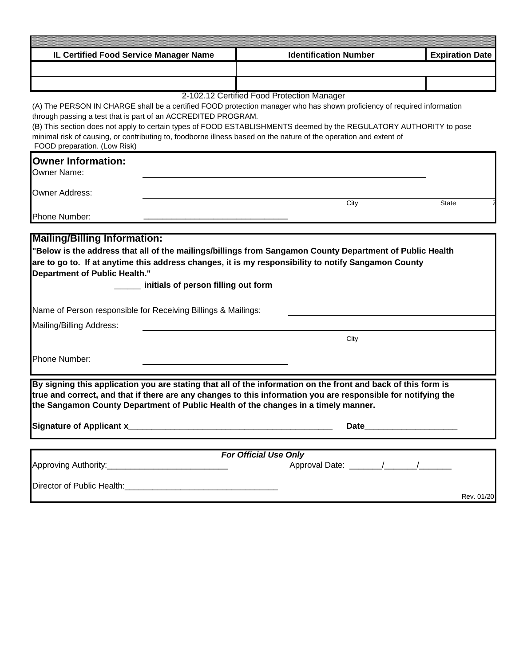| IL Certified Food Service Manager Name                                                        | <b>Identification Number</b>                                                                                                                                                                                                                                                                                                                                                                                     | <b>Expiration Date</b> |
|-----------------------------------------------------------------------------------------------|------------------------------------------------------------------------------------------------------------------------------------------------------------------------------------------------------------------------------------------------------------------------------------------------------------------------------------------------------------------------------------------------------------------|------------------------|
|                                                                                               |                                                                                                                                                                                                                                                                                                                                                                                                                  |                        |
|                                                                                               |                                                                                                                                                                                                                                                                                                                                                                                                                  |                        |
| through passing a test that is part of an ACCREDITED PROGRAM.<br>FOOD preparation. (Low Risk) | 2-102.12 Certified Food Protection Manager<br>(A) The PERSON IN CHARGE shall be a certified FOOD protection manager who has shown proficiency of required information<br>(B) This section does not apply to certain types of FOOD ESTABLISHMENTS deemed by the REGULATORY AUTHORITY to pose<br>minimal risk of causing, or contributing to, foodborne illness based on the nature of the operation and extent of |                        |
| <b>Owner Information:</b><br>Owner Name:                                                      |                                                                                                                                                                                                                                                                                                                                                                                                                  |                        |
| Owner Address:                                                                                |                                                                                                                                                                                                                                                                                                                                                                                                                  |                        |
|                                                                                               | City                                                                                                                                                                                                                                                                                                                                                                                                             | State                  |
| Phone Number:                                                                                 |                                                                                                                                                                                                                                                                                                                                                                                                                  |                        |
| Name of Person responsible for Receiving Billings & Mailings:                                 |                                                                                                                                                                                                                                                                                                                                                                                                                  |                        |
| Mailing/Billing Address:                                                                      |                                                                                                                                                                                                                                                                                                                                                                                                                  |                        |
|                                                                                               | City                                                                                                                                                                                                                                                                                                                                                                                                             |                        |
| Phone Number:                                                                                 |                                                                                                                                                                                                                                                                                                                                                                                                                  |                        |
|                                                                                               | By signing this application you are stating that all of the information on the front and back of this form is<br>true and correct, and that if there are any changes to this information you are responsible for notifying the<br>the Sangamon County Department of Public Health of the changes in a timely manner.                                                                                             |                        |
|                                                                                               | Date and the contract of the contract of the contract of the contract of the contract of the contract of the contract of the contract of the contract of the contract of the contract of the contract of the contract of the c                                                                                                                                                                                   |                        |
|                                                                                               |                                                                                                                                                                                                                                                                                                                                                                                                                  |                        |
|                                                                                               | <b>For Official Use Only</b>                                                                                                                                                                                                                                                                                                                                                                                     |                        |
|                                                                                               | Approval Date: //                                                                                                                                                                                                                                                                                                                                                                                                |                        |
| Director of Public Health: New York 1999                                                      |                                                                                                                                                                                                                                                                                                                                                                                                                  |                        |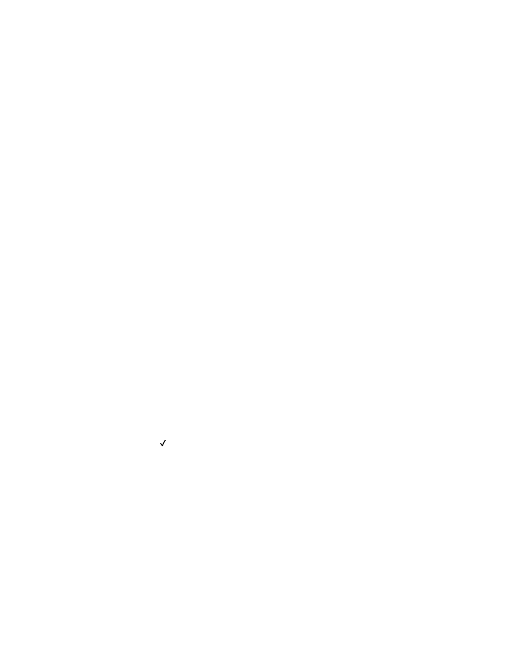$\checkmark$